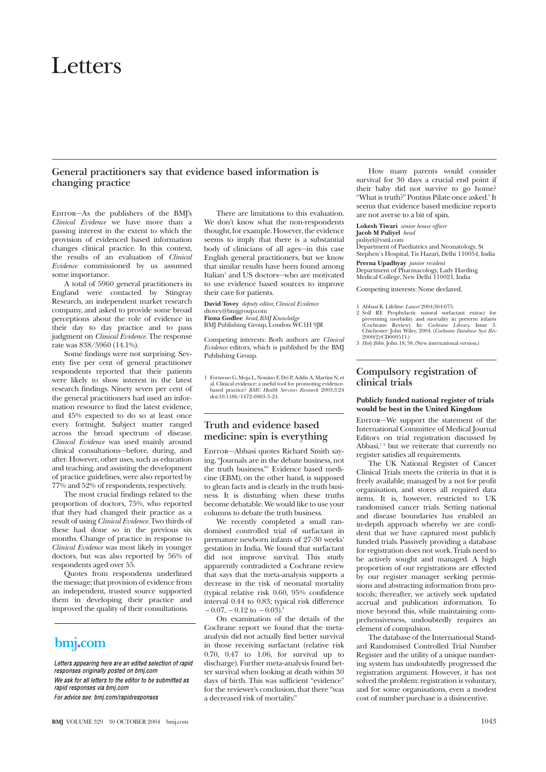# Letters

## **General practitioners say that evidence based information is changing practice**

EDITOR-As the publishers of the BMJ's *Clinical Evidence* we have more than a passing interest in the extent to which the provision of evidenced based information changes clinical practice. In this context, the results of an evaluation of *Clinical Evidence* commissioned by us assumed some importance.

A total of 5960 general practitioners in England were contacted by Stingray Research, an independent market research company, and asked to provide some broad perceptions about the role of evidence in their day to day practice and to pass judgment on *Clinical Evidence*. The response rate was 838/5960 (14.1%).

Some findings were not surprising. Seventy five per cent of general practitioner respondents reported that their patients were likely to show interest in the latest research findings. Ninety seven per cent of the general practitioners had used an information resource to find the latest evidence, and 45% expected to do so at least once every fortnight. Subject matter ranged across the broad spectrum of disease. *Clinical Evidence* was used mainly around clinical consultations—before, during, and after. However, other uses, such as education and teaching, and assisting the development of practice guidelines, were also reported by 77% and 52% of respondents, respectively.

The most crucial findings related to the proportion of doctors, 75%, who reported that they had changed their practice as a result of using *Clinical Evidence*. Two thirds of these had done so in the previous six months. Change of practice in response to *Clinical Evidence* was most likely in younger doctors, but was also reported by 56% of respondents aged over 55.

Quotes from respondents underlined the message; that provision of evidence from an independent, trusted source supported them in developing their practice and improved the quality of their consultations.

## bmj.com

Letters appearing here are an edited selection of rapid responses originally posted on bmj.com We ask for all letters to the editor to be submitted as rapid responses via bmi.com For advice see: bmj.com/rapidresponses

There are limitations to this evaluation. We don't know what the non-respondents thought, for example. However, the evidence seems to imply that there is a substantial body of clinicians of all ages—in this case English general practitioners, but we know that similar results have been found among Italian<sup>1</sup> and US doctors-who are motivated to use evidence based sources to improve their care for patients.

**David Tovey** *deputy editor, Clinical Evidence* dtovey@bmjgroup.com **Fiona Godlee** *head, BMJ Knowledge* BMJ Publishing Group, London WC1H 9JR

Competing interests: Both authors are *Clinical Evidence* editors, which is published by the BMJ Publishing Group.

1 Formoso G, Moja L, Nonino F, Dri P, Addis A, Martini N, et al. Clinical evidence: a useful tool for promoting evidence-based practice? *BMC Health Services Research* 2003;3:24 doi:10.1186/1472-6963-3-24.

## **Truth and evidence based medicine: spin is everything**

Editor—Abbasi quotes Richard Smith saying, "Journals are in the debate business, not the truth business."1 Evidence based medicine (EBM), on the other hand, is supposed to glean facts and is clearly in the truth business. It is disturbing when these truths become debatable. We would like to use your columns to debate the truth business.

We recently completed a small randomised controlled trial of surfactant in premature newborn infants of 27-30 weeks' gestation in India. We found that surfactant did not improve survival. This study apparently contradicted a Cochrane review that says that the meta-analysis supports a decrease in the risk of neonatal mortality (typical relative risk 0.60, 95% confidence interval 0.44 to 0.83; typical risk difference  $-0.07, -0.12$  to  $-0.03$ ).<sup>2</sup>

On examination of the details of the Cochrane report we found that the metaanalysis did not actually find better survival in those receiving surfactant (relative risk 0.70, 0.47 to 1.06, for survival up to discharge). Further meta-analysis found better survival when looking at death within 30 days of birth. This was sufficient "evidence" for the reviewer's conclusion, that there "was a decreased risk of mortality."

How many parents would consider survival for 30 days a crucial end point if their baby did not survive to go home? "What is truth?" Pontius Pilate once asked.<sup>3</sup> It seems that evidence based medicine reports are not averse to a bit of spin.

**Lokesh Tiwari** *senior house officer*

## **Jacob M Puliyel** *head*

puliyel@vsnl.com Department of Paediatrics and Neonatology, St Stephen's Hospital, Tis Hazari, Delhi 110054, India

**Prerna Upadhyay** *junior resident* Department of Pharmacology, Lady Harding Medical College, New Delhi 110021, India

Competing interests: None declared.

1 Abbasi K. Lifeline. *Lancet* 2004;364:675.

2 Soll RF. Prophylactic natural surfactant extract for preventing morbidity and mortality in preterm infants (Cochrane Review). In: *Cochrane Library*. Issue 3.<br>Chichester: John Wiley, 2004. (*Cochrane Library*. Issue 3.<br>

## **Compulsory registration of clinical trials**

#### **Publicly funded national register of trials would be best in the United Kingdom**

EDITOR-We support the statement of the International Committee of Medical Journal Editors on trial registration discussed by Abbasi, $1^2$  but we reiterate that currently no register satisfies all requirements.

The UK National Register of Cancer Clinical Trials meets the criteria in that it is freely available, managed by a not for profit organisation, and stores all required data items. It is, however, restricted to UK randomised cancer trials. Setting national and disease boundaries has enabled an in-depth approach whereby we are confident that we have captured most publicly funded trials. Passively providing a database for registration does not work. Trials need to be actively sought and managed. A high proportion of our registrations are effected by our register manager seeking permissions and abstracting information from protocols; thereafter, we actively seek updated accrual and publication information. To move beyond this, while maintaining comprehensiveness, undoubtedly requires an element of compulsion.

The database of the International Standard Randomised Controlled Trial Number Register and the utility of a unique numbering system has undoubtedly progressed the registration argument. However, it has not solved the problem: registration is voluntary, and for some organisations, even a modest cost of number purchase is a disincentive.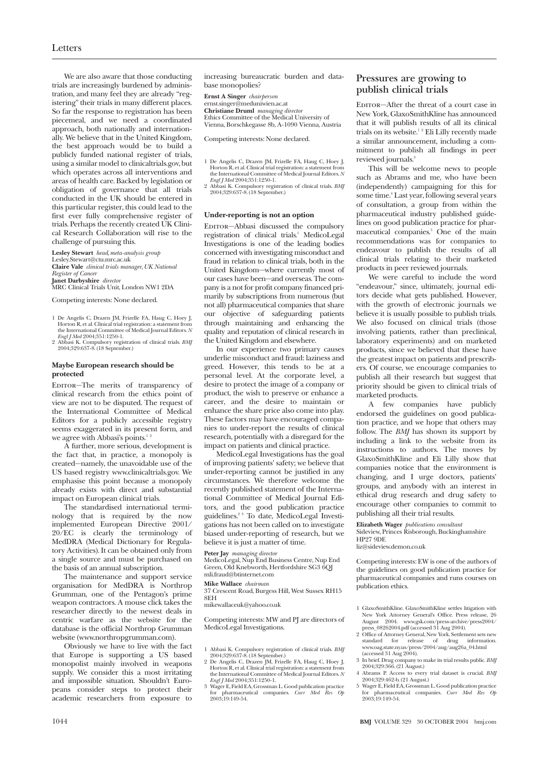We are also aware that those conducting trials are increasingly burdened by administration, and many feel they are already "registering" their trials in many different places. So far the response to registration has been piecemeal, and we need a coordinated approach, both nationally and internationally. We believe that in the United Kingdom, the best approach would be to build a publicly funded national register of trials, using a similar model to clinicaltrials.gov, but which operates across all interventions and areas of health care. Backed by legislation or obligation of governance that all trials conducted in the UK should be entered in this particular register, this could lead to the first ever fully comprehensive register of trials. Perhaps the recently created UK Clinical Research Collaboration will rise to the challenge of pursuing this.

**Lesley Stewart** *head, meta-analysis group*

Lesley.Stewart@ctu.mrc.ac.uk **Claire Vale** *clinical trials manager, UK National Register of Cancer*

**Janet Darbyshire** *director* MRC Clinical Trials Unit, London NW1 2DA

Competing interests: None declared.

- 1 De Angelis C, Drazen JM, Frizelle FA, Haug C, Hoey J, Horton R, et al. Clinical trial registration: a statement from the International Committee of Medical Journal Editors. *N*
- *Engl J Med* 2004;351:1250-1. 2 Abbasi K. Compulsory registration of clinical trials. *BMJ* 2004;329:637-8. (18 September.)

#### **Maybe European research should be protected**

EDITOR-The merits of transparency of clinical research from the ethics point of view are not to be disputed. The request of the International Committee of Medical Editors for a publicly accessible registry seems exaggerated in its present form, and we agree with Abbasi's points.<sup>1</sup>

A further, more serious, development is the fact that, in practice, a monopoly is created—namely, the unavoidable use of the US based registry www.clinicaltrials.gov. We emphasise this point because a monopoly already exists with direct and substantial impact on European clinical trials.

The standardised international terminology that is required by the now implemented European Directive 2001/ 20/EC is clearly the terminology of MedDRA (Medical Dictionary for Regulatory Activities). It can be obtained only from a single source and must be purchased on the basis of an annual subscription.

The maintenance and support service organisation for MedDRA is Northrop Grumman, one of the Pentagon's prime weapon contractors. A mouse click takes the researcher directly to the newest deals in centric warfare as the website for the database is the official Northrop Grumman website (www.northropgrumman.com).

Obviously we have to live with the fact that Europe is supporting a US based monopolist mainly involved in weapons supply. We consider this a most irritating and impossible situation. Shouldn't Europeans consider steps to protect their academic researchers from exposure to increasing bureaucratic burden and database monopolies?

**Ernst A Singer** *chairperson* ernst.singer@meduniwien.ac.at **Christiane Druml** *managing director* Ethics Committee of the Medical University of Vienna, Borschkegasse 8b, A-1090 Vienna, Austria

Competing interests: None declared.

- 1 De Angelis C, Drazen JM, Frizelle FA, Haug C, Hoey J, Horton R, et al. Clinical trial registration: a statement from the International Committee of Medical Journal Editors. *N Engl J Med* 2004;351:1250-1.
- 2 Abbasi K. Compulsory registration of clinical trials. *BMJ* 2004;329:637-8. (18 September.)

#### **Under-reporting is not an option**

EDITOR-Abbasi discussed the compulsory registration of clinical trials.<sup>1</sup> MedicoLegal Investigations is one of the leading bodies concerned with investigating misconduct and fraud in relation to clinical trials, both in the United Kingdom—where currently most of our cases have been—and overseas. The company is a not for profit company financed primarily by subscriptions from numerous (but not all) pharmaceutical companies that share our objective of safeguarding patients through maintaining and enhancing the quality and reputation of clinical research in the United Kingdom and elsewhere.

In our experience two primary causes underlie misconduct and fraud: laziness and greed. However, this tends to be at a personal level. At the corporate level, a desire to protect the image of a company or product, the wish to preserve or enhance a career, and the desire to maintain or enhance the share price also come into play. These factors may have encouraged companies to under-report the results of clinical research, potentially with a disregard for the impact on patients and clinical practice.

MedicoLegal Investigations has the goal of improving patients' safety; we believe that under-reporting cannot be justified in any circumstances. We therefore welcome the recently published statement of the International Committee of Medical Journal Editors, and the good publication practice guidelines.2 3 To date, MedicoLegal Investigations has not been called on to investigate biased under-reporting of research, but we believe it is just a matter of time.

#### **Peter Jay** *managing director*

MedicoLegal, Nup End Business Centre, Nup End Green, Old Knebworth, Hertfordshire SG3 6QJ mli.fraud@btinternet.com

#### **Mike Wallace** *chairman*

37 Crescent Road, Burgess Hill, West Sussex RH15 8EH

mikewallaceuk@yahoo.co.uk

Competing interests: MW and PJ are directors of MedicoLegal Investigations.

- 1 Abbasi K. Compulsory registration of clinical trials. *BMJ* 2004;329:637-8. (18 September.) 2 De Angelis C, Drazen JM, Frizelle FA, Haug C, Hoey J,
- Horton R, et al. Clinical trial registration: a statement from the International Committee of Medical Journal Editors. *N Engl J Med* 2004;351:1250-1.
- 3 Wager E, Field EA, Grossman L. Good publication practice for pharmaceutical companies. *Curr Med Res Op* 2003-19-149-54

## **Pressures are growing to publish clinical trials**

EDITOR-After the threat of a court case in New York, GlaxoSmithKline has announced that it will publish results of all its clinical trials on its website.1 2 Eli Lilly recently made a similar announcement, including a commitment to publish all findings in peer reviewed journals.<sup>3</sup>

This will be welcome news to people such as Abrams and me, who have been (independently) campaigning for this for some time.<sup>4</sup> Last year, following several years of consultation, a group from within the pharmaceutical industry published guidelines on good publication practice for pharmaceutical companies.<sup>5</sup> One of the main recommendations was for companies to endeavour to publish the results of all clinical trials relating to their marketed products in peer reviewed journals.

We were careful to include the word "endeavour," since, ultimately, journal editors decide what gets published. However, with the growth of electronic journals we believe it is usually possible to publish trials. We also focused on clinical trials (those involving patients, rather than preclinical, laboratory experiments) and on marketed products, since we believed that these have the greatest impact on patients and prescribers. Of course, we encourage companies to publish all their research but suggest that priority should be given to clinical trials of marketed products.

A few companies have publicly endorsed the guidelines on good publication practice, and we hope that others may follow. The *BMJ* has shown its support by including a link to the website from its instructions to authors. The moves by GlaxoSmithKline and Eli Lilly show that companies notice that the environment is changing, and I urge doctors, patients' groups, and anybody with an interest in ethical drug research and drug safety to encourage other companies to commit to publishing all their trial results.

#### **Elizabeth Wager** *publications consultant* Sideview, Princes Risborough, Buckinghamshire HP27 9DE

liz@sideview.demon.co.uk

Competing interests: EW is one of the authors of the guidelines on good publication practice for pharmaceutical companies and runs courses on publication ethics.

- 1 GlaxoSmithKline. GlaxoSmithKline settles litigation with New York Attorney General's Office. Press release, 26 August 2004. www.gsk.com/press-archive/press2004/ press\_08262004.pdf (accessed 31 Aug 2004).
- 2 Office of Attorney General, New York. Settlement sets new<br>standard for release of drug information.<br>www.oag.state.ny.us/press/2004/aug/aug26a\_04.html<br>(accessed 31 Aug 2004).
- 3 In brief. Drug company to make its trial results public. *BMJ* 2004;329:366. (21 August.) 4 Abrams P. Access to every trial dataset is crucial. *BMJ*
- 2004;329:462-b. (21 August.)
- 5 Wager E, Field EA, Grossman L. Good publication practice for pharmaceutical companies. *Curr Med Res Op* 2003;19:149-54.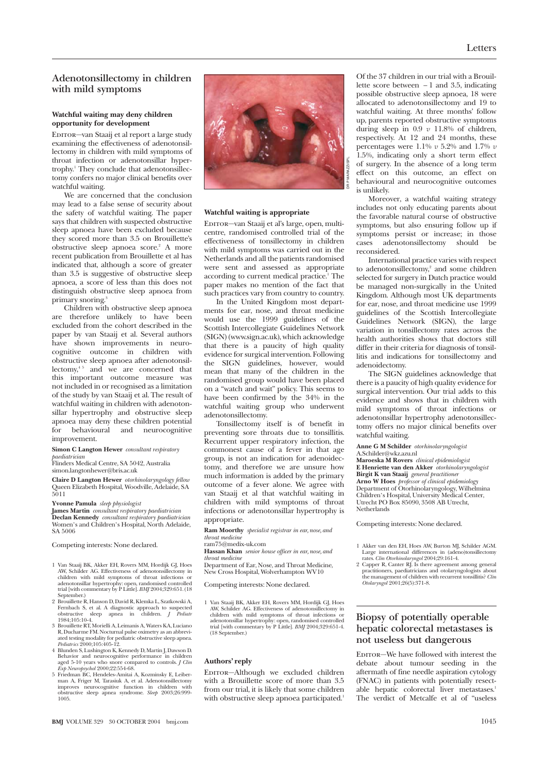## **Adenotonsillectomy in children with mild symptoms**

#### **Watchful waiting may deny children opportunity for development**

Editor—van Staaij et al report a large study examining the effectiveness of adenotonsillectomy in children with mild symptoms of throat infection or adenotonsillar hypertrophy.1 They conclude that adenotonsillectomy confers no major clinical benefits over watchful waiting.

We are concerned that the conclusion may lead to a false sense of security about the safety of watchful waiting. The paper says that children with suspected obstructive sleep apnoea have been excluded because they scored more than 3.5 on Brouillette's obstructive sleep apnoea score.2 A more recent publication from Brouillette et al has indicated that, although a score of greater than 3.5 is suggestive of obstructive sleep apnoea, a score of less than this does not distinguish obstructive sleep apnoea from primary snoring.<sup>3</sup>

Children with obstructive sleep apnoea are therefore unlikely to have been excluded from the cohort described in the paper by van Staaij et al. Several authors have shown improvements in neurocognitive outcome in children with obstructive sleep apnoea after adenotonsillectomy, $45$  and we are concerned that this important outcome measure was not included in or recognised as a limitation of the study by van Staaij et al. The result of watchful waiting in children with adenotonsillar hypertrophy and obstructive sleep apnoea may deny these children potential for behavioural and neurocognitive improvement.

**Simon C Langton Hewer** *consultant respiratory paediatrician*

Flinders Medical Centre, SA 5042, Australia simon.langtonhewer@bris.ac.uk

**Claire D Langton Hewer** *otorhinolaryngology fellow* Queen Elizabeth Hospital, Woodville, Adelaide, SA 5011

**Yvonne Pamula** *sleep physiologist*

**James Martin** *consultant respiratory paediatrician* **Declan Kennedy** *consultant respiratory paediatrician* Women's and Children's Hospital, North Adelaide, SA 5006

Competing interests: None declared.

- 1 Van Staaij BK, Akker EH, Rovers MM, Hordijk GJ, Hoes AW, Schilder AG. Effectiveness of adenotonsillectomy in children with mild symptoms of throat infections or adenotonsillar hypertrophy: open, randomised controlled trial [with commentary by P Little]. *BMJ* 2004;329:651. (18 September.)
- 2 Brouillette R, Hanson D, David R, Klemka L, Szatkowski A, Fernbach S, et al. A diagnostic approach to suspected obstructive sleep apnea in children. *J Pediatr* 1984;105:10-4.
- 3 Brouillette RT, Morielli A, Leimanis A, Waters KA, Luciano R, Ducharme FM. Nocturnal pulse oximetry as an abbrevi-ated testing modality for pediatric obstructive sleep apnea. *Pediatrics* 2000;105:405-12.
- 4 Blunden S, Lushington K, Kennedy D, Martin J, Dawson D. Behavior and neurocognitive performance in children<br> *aged* 5-10 years who snore compared to controls. *J Clin*<br> *Exp Neuropsychol* 2000;22:554-68.<br>
5 Friedman BC, Hendeles-Amitai A, Kozminsky E, Leiber-
- man A, Friger M, Tarasiuk A, et al. Adenotonsillectomy improves neurocognitive function in children with obstructive sleep apnea syndrome. *Sleep* 2003;26:999- 1005.



#### **Watchful waiting is appropriate**

EDITOR—van Staaij et al's large, open, multicentre, randomised controlled trial of the effectiveness of tonsillectomy in children with mild symptoms was carried out in the Netherlands and all the patients randomised were sent and assessed as appropriate according to current medical practice.<sup>1</sup> The paper makes no mention of the fact that such practices vary from country to country.

In the United Kingdom most departments for ear, nose, and throat medicine would use the 1999 guidelines of the Scottish Intercollegiate Guidelines Network (SIGN) (www.sign.ac.uk), which acknowledge that there is a paucity of high quality evidence for surgical intervention. Following the SIGN guidelines, however, would mean that many of the children in the randomised group would have been placed on a "watch and wait" policy. This seems to have been confirmed by the 34% in the watchful waiting group who underwent adenotonsillectomy.

Tonsillectomy itself is of benefit in preventing sore throats due to tonsillitis. Recurrent upper respiratory infection, the commonest cause of a fever in that age group, is not an indication for adenoidectomy, and therefore we are unsure how much information is added by the primary outcome of a fever alone. We agree with van Staaij et al that watchful waiting in children with mild symptoms of throat infections or adenotonsillar hypertrophy is appropriate.

**Ram Moorthy** *specialist registrar in ear, nose, and throat medicine* ram75@medix-uk.com

**Hassan Khan** *senior house officer in ear, nose, and throat medicine*

Department of Ear, Nose, and Throat Medicine, New Cross Hospital, Wolverhampton WV10

Competing interests: None declared.

1 Van Staaij BK, Akker EH, Rovers MM, Hordijk GJ, Hoes AW, Schilder AG. Effectiveness of adenotonsillectomy in children with mild symptoms of throat infections or adenotonsillar hypertrophy: open, randomised controlled trial [with commentary by P Little]. *BMJ* 2004;329:651-4. (18 September.)

#### **Authors' reply**

EDITOR-Although we excluded children with a Brouillette score of more than 3.5 from our trial, it is likely that some children with obstructive sleep apnoea participated.<sup>1</sup>

Of the 37 children in our trial with a Brouillette score between − 1 and 3.5, indicating possible obstructive sleep apnoea, 18 were allocated to adenotonsillectomy and 19 to watchful waiting. At three months' follow up, parents reported obstructive symptoms during sleep in 0.9 *v* 11.8% of children, respectively. At 12 and 24 months, these percentages were 1.1% *v* 5.2% and 1.7% *v* 1.5%, indicating only a short term effect of surgery. In the absence of a long term effect on this outcome, an effect on behavioural and neurocognitive outcomes is unlikely.

Moreover, a watchful waiting strategy includes not only educating parents about the favorable natural course of obstructive symptoms, but also ensuring follow up if symptoms persist or increase; in those cases adenotonsillectomy should be reconsidered.

International practice varies with respect to adenotonsillectomy,<sup>2</sup> and some children selected for surgery in Dutch practice would be managed non-surgically in the United Kingdom. Although most UK departments for ear, nose, and throat medicine use 1999 guidelines of the Scottish Intercollegiate Guidelines Network (SIGN), the large variation in tonsillectomy rates across the health authorities shows that doctors still differ in their criteria for diagnosis of tonsillitis and indications for tonsillectomy and adenoidectomy.

The SIGN guidelines acknowledge that there is a paucity of high quality evidence for surgical intervention. Our trial adds to this evidence and shows that in children with mild symptoms of throat infections or adenotonsillar hypertrophy adenotonsillectomy offers no major clinical benefits over watchful waiting.

**Anne G M Schilder** *otorhinolaryngologist*

A.Schilder@wkz.azu.nl

**Maroeska M Rovers** *clinical epidemiologist* **E Henriette van den Akker** *otorhinolaryngologist* **Birgit K van Staaij** *general practitioner* **Arno W Hoes** *professor of clinical epidemiology* Department of Otorhinolaryngology, Wilhelmina Children's Hospital, University Medical Center, Utrecht PO Box 85090, 3508 AB Utrecht, Netherlands

Competing interests: None declared.

- 1 Akker van den EH, Hoes AW, Burton MJ, Schilder AGM. Large international differences in (adeno)tonsillectomy rates. *Clin Otorhinolaryngol* 2004;29:161-4.
- 2 Capper R, Canter RJ. Is there agreement among general practitioners, paediatricians and otolaryngologists about the management of children with recurrent tonsillitis? *Clin Otolaryngol* 2001;26(5):371-8.

## **Biopsy of potentially operable hepatic colorectal metastases is not useless but dangerous**

EDITOR-We have followed with interest the debate about tumour seeding in the aftermath of fine needle aspiration cytology (FNAC) in patients with potentially resectable hepatic colorectal liver metastases.<sup>1</sup> The verdict of Metcalfe et al of "useless